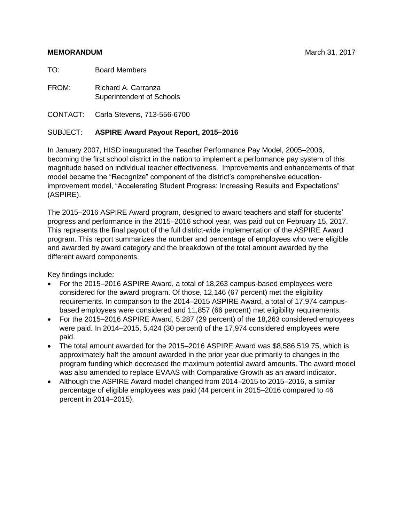#### **MEMORANDUM MEMORANDUM MEMORANDUM MARCH 31, 2017**

TO: Board Members

FROM: Richard A. Carranza Superintendent of Schools

CONTACT: Carla Stevens, 713-556-6700

### SUBJECT: **ASPIRE Award Payout Report, 2015–2016**

In January 2007, HISD inaugurated the Teacher Performance Pay Model, 2005–2006, becoming the first school district in the nation to implement a performance pay system of this magnitude based on individual teacher effectiveness. Improvements and enhancements of that model became the "Recognize" component of the district's comprehensive educationimprovement model, "Accelerating Student Progress: Increasing Results and Expectations" (ASPIRE).

The 2015–2016 ASPIRE Award program, designed to award teachers and staff for students' progress and performance in the 2015–2016 school year, was paid out on February 15, 2017. This represents the final payout of the full district-wide implementation of the ASPIRE Award program. This report summarizes the number and percentage of employees who were eligible and awarded by award category and the breakdown of the total amount awarded by the different award components.

Key findings include:

- For the 2015–2016 ASPIRE Award, a total of 18,263 campus-based employees were considered for the award program. Of those, 12,146 (67 percent) met the eligibility requirements. In comparison to the 2014–2015 ASPIRE Award, a total of 17,974 campusbased employees were considered and 11,857 (66 percent) met eligibility requirements.
- For the 2015–2016 ASPIRE Award, 5,287 (29 percent) of the 18,263 considered employees were paid. In 2014–2015, 5,424 (30 percent) of the 17,974 considered employees were paid.
- The total amount awarded for the 2015–2016 ASPIRE Award was \$8,586,519.75, which is approximately half the amount awarded in the prior year due primarily to changes in the program funding which decreased the maximum potential award amounts. The award model was also amended to replace EVAAS with Comparative Growth as an award indicator.
- Although the ASPIRE Award model changed from 2014–2015 to 2015–2016, a similar percentage of eligible employees was paid (44 percent in 2015–2016 compared to 46 percent in 2014–2015).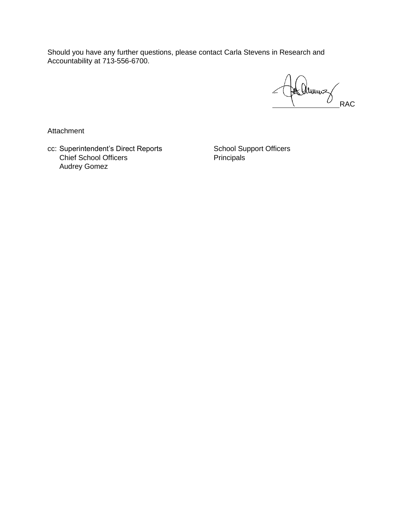Should you have any further questions, please contact Carla Stevens in Research and Accountability at 713-556-6700.

He aunus

Attachment

cc: Superintendent's Direct Reports School Support Officers Chief School Officers **Principals** Principals Audrey Gomez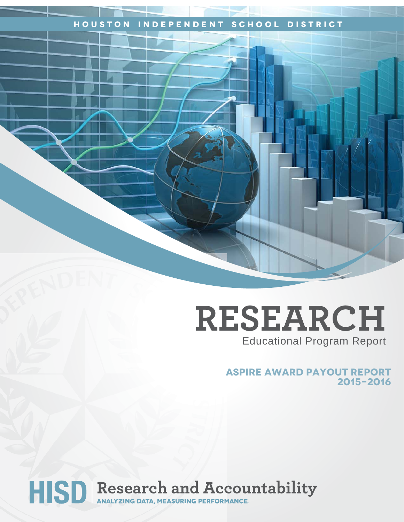### **Houston Independent School District**

# **RESEARCH** Educational Program Report

**ASPIRE Award payout report 2015-2016**

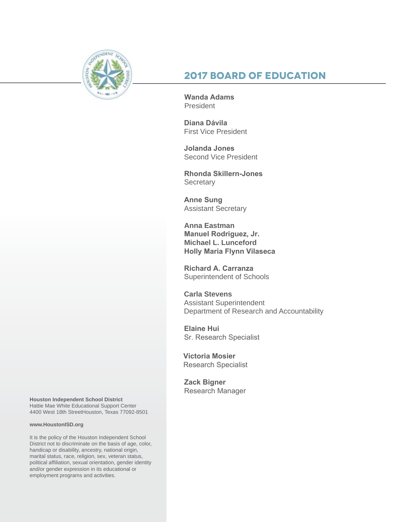

### **2017 Board of Education**

**Wanda Adams President** 

**Diana Dávila**  First Vice President

**Jolanda Jones**  Second Vice President

**Rhonda Skillern-Jones Secretary** 

**Anne Sung** Assistant Secretary

**Anna Eastman Manuel Rodriguez, Jr. Michael L. Lunceford Holly Maria Flynn Vilaseca**

**Richard A. Carranza** Superintendent of Schools

**Carla Stevens** Assistant Superintendent Department of Research and Accountability

**Elaine Hui** Sr. Research Specialist

**Victoria Mosier** Research Specialist

**Zack Bigner** Research Manager

**Houston Independent School District** Hattie Mae White Educational Support Center 4400 West 18th StreetHouston, Texas 77092-8501

#### **www.HoustonISD.org**

It is the policy of the Houston Independent School District not to discriminate on the basis of age, color, handicap or disability, ancestry, national origin, marital status, race, religion, sex, veteran status, political affiliation, sexual orientation, gender identity and/or gender expression in its educational or employment programs and activities.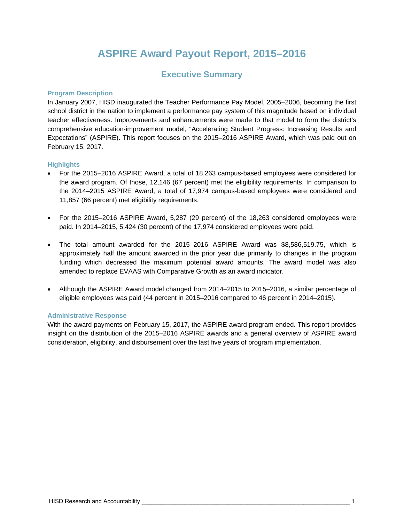## **ASPIRE Award Payout Report, 2015–2016**

### **Executive Summary**

#### **Program Description**

In January 2007, HISD inaugurated the Teacher Performance Pay Model, 2005–2006, becoming the first school district in the nation to implement a performance pay system of this magnitude based on individual teacher effectiveness. Improvements and enhancements were made to that model to form the district's comprehensive education-improvement model, "Accelerating Student Progress: Increasing Results and Expectations" (ASPIRE). This report focuses on the 2015–2016 ASPIRE Award, which was paid out on February 15, 2017.

#### **Highlights**

- For the 2015–2016 ASPIRE Award, a total of 18,263 campus-based employees were considered for the award program. Of those, 12,146 (67 percent) met the eligibility requirements. In comparison to the 2014–2015 ASPIRE Award, a total of 17,974 campus-based employees were considered and 11,857 (66 percent) met eligibility requirements.
- For the 2015–2016 ASPIRE Award, 5,287 (29 percent) of the 18,263 considered employees were paid. In 2014–2015, 5,424 (30 percent) of the 17,974 considered employees were paid.
- The total amount awarded for the 2015–2016 ASPIRE Award was \$8,586,519.75, which is approximately half the amount awarded in the prior year due primarily to changes in the program funding which decreased the maximum potential award amounts. The award model was also amended to replace EVAAS with Comparative Growth as an award indicator.
- Although the ASPIRE Award model changed from 2014–2015 to 2015–2016, a similar percentage of eligible employees was paid (44 percent in 2015–2016 compared to 46 percent in 2014–2015).

#### **Administrative Response**

With the award payments on February 15, 2017, the ASPIRE award program ended. This report provides insight on the distribution of the 2015–2016 ASPIRE awards and a general overview of ASPIRE award consideration, eligibility, and disbursement over the last five years of program implementation.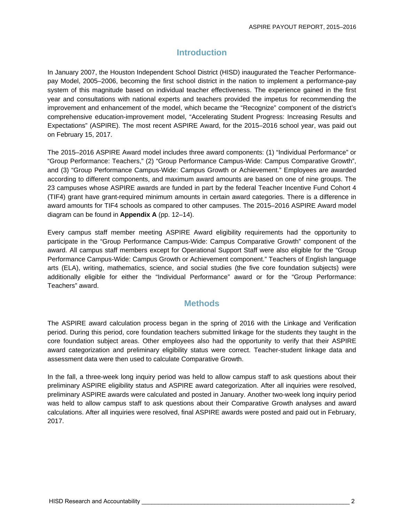### **Introduction**

In January 2007, the Houston Independent School District (HISD) inaugurated the Teacher Performancepay Model, 2005–2006, becoming the first school district in the nation to implement a performance-pay system of this magnitude based on individual teacher effectiveness. The experience gained in the first year and consultations with national experts and teachers provided the impetus for recommending the improvement and enhancement of the model, which became the "Recognize" component of the district's comprehensive education-improvement model, "Accelerating Student Progress: Increasing Results and Expectations" (ASPIRE). The most recent ASPIRE Award, for the 2015–2016 school year, was paid out on February 15, 2017.

The 2015–2016 ASPIRE Award model includes three award components: (1) "Individual Performance" or "Group Performance: Teachers," (2) "Group Performance Campus-Wide: Campus Comparative Growth", and (3) "Group Performance Campus-Wide: Campus Growth or Achievement." Employees are awarded according to different components, and maximum award amounts are based on one of nine groups. The 23 campuses whose ASPIRE awards are funded in part by the federal Teacher Incentive Fund Cohort 4 (TIF4) grant have grant-required minimum amounts in certain award categories. There is a difference in award amounts for TIF4 schools as compared to other campuses. The 2015–2016 ASPIRE Award model diagram can be found in **Appendix A** (pp. 12–14).

Every campus staff member meeting ASPIRE Award eligibility requirements had the opportunity to participate in the "Group Performance Campus-Wide: Campus Comparative Growth" component of the award. All campus staff members except for Operational Support Staff were also eligible for the "Group Performance Campus-Wide: Campus Growth or Achievement component." Teachers of English language arts (ELA), writing, mathematics, science, and social studies (the five core foundation subjects) were additionally eligible for either the "Individual Performance" award or for the "Group Performance: Teachers" award.

### **Methods**

The ASPIRE award calculation process began in the spring of 2016 with the Linkage and Verification period. During this period, core foundation teachers submitted linkage for the students they taught in the core foundation subject areas. Other employees also had the opportunity to verify that their ASPIRE award categorization and preliminary eligibility status were correct. Teacher-student linkage data and assessment data were then used to calculate Comparative Growth.

In the fall, a three-week long inquiry period was held to allow campus staff to ask questions about their preliminary ASPIRE eligibility status and ASPIRE award categorization. After all inquiries were resolved, preliminary ASPIRE awards were calculated and posted in January. Another two-week long inquiry period was held to allow campus staff to ask questions about their Comparative Growth analyses and award calculations. After all inquiries were resolved, final ASPIRE awards were posted and paid out in February, 2017.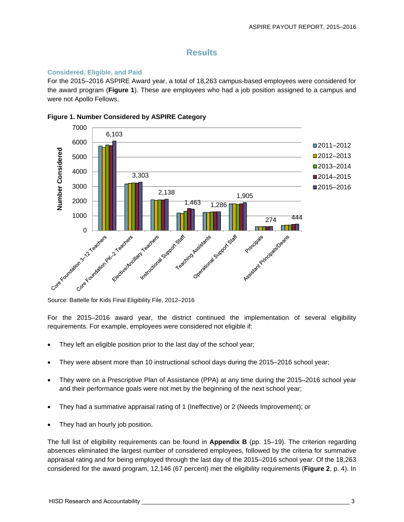### **Results**

#### **Considered, Eligible, and Paid**

For the 2015–2016 ASPIRE Award year, a total of 18,263 campus-based employees were considered for the award program (**Figure 1**). These are employees who had a job position assigned to a campus and were not Apollo Fellows.



#### **Figure 1. Number Considered by ASPIRE Category**

For the 2015–2016 award year, the district continued the implementation of several eligibility requirements. For example, employees were considered not eligible if:

- They left an eligible position prior to the last day of the school year;
- They were absent more than 10 instructional school days during the 2015–2016 school year;
- They were on a Prescriptive Plan of Assistance (PPA) at any time during the 2015–2016 school year and their performance goals were not met by the beginning of the next school year;
- They had a summative appraisal rating of 1 (Ineffective) or 2 (Needs Improvement); or
- They had an hourly job position.

The full list of eligibility requirements can be found in **Appendix B** (pp. 15–19). The criterion regarding absences eliminated the largest number of considered employees, followed by the criteria for summative appraisal rating and for being employed through the last day of the 2015–2016 school year. Of the 18,263 considered for the award program, 12,146 (67 percent) met the eligibility requirements (**Figure 2**, p. 4). In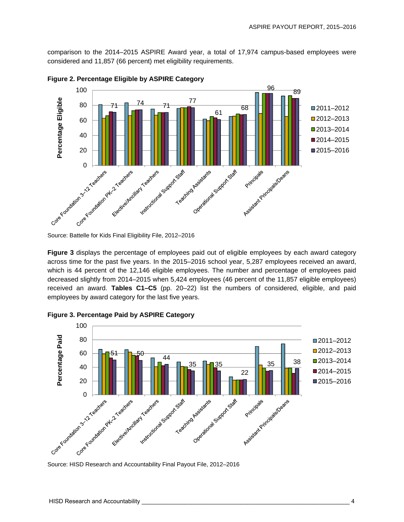comparison to the 2014–2015 ASPIRE Award year, a total of 17,974 campus-based employees were considered and 11,857 (66 percent) met eligibility requirements.



**Figure 2. Percentage Eligible by ASPIRE Category** 

**Figure 3** displays the percentage of employees paid out of eligible employees by each award category across time for the past five years. In the 2015–2016 school year, 5,287 employees received an award, which is 44 percent of the 12,146 eligible employees. The number and percentage of employees paid decreased slightly from 2014–2015 when 5,424 employees (46 percent of the 11,857 eligible employees) received an award. **Tables C1–C5** (pp. 20–22) list the numbers of considered, eligible, and paid employees by award category for the last five years.



**Figure 3. Percentage Paid by ASPIRE Category**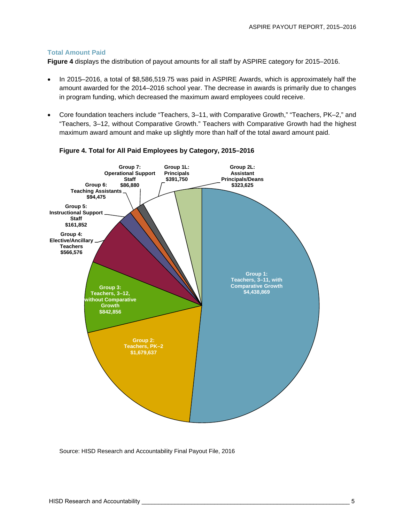#### **Total Amount Paid**

**Figure 4** displays the distribution of payout amounts for all staff by ASPIRE category for 2015–2016.

- In 2015–2016, a total of \$8,586,519.75 was paid in ASPIRE Awards, which is approximately half the amount awarded for the 2014–2016 school year. The decrease in awards is primarily due to changes in program funding, which decreased the maximum award employees could receive.
- Core foundation teachers include "Teachers, 3–11, with Comparative Growth," "Teachers, PK–2," and "Teachers, 3–12, without Comparative Growth." Teachers with Comparative Growth had the highest maximum award amount and make up slightly more than half of the total award amount paid.



#### **Figure 4. Total for All Paid Employees by Category, 2015–2016**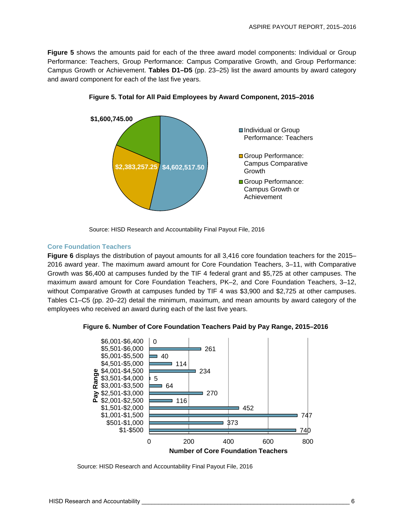**Figure 5** shows the amounts paid for each of the three award model components: Individual or Group Performance: Teachers, Group Performance: Campus Comparative Growth, and Group Performance: Campus Growth or Achievement. **Tables D1–D5** (pp. 23–25) list the award amounts by award category and award component for each of the last five years.



**Figure 5. Total for All Paid Employees by Award Component, 2015–2016** 

Source: HISD Research and Accountability Final Payout File, 2016

#### **Core Foundation Teachers**

**Figure 6** displays the distribution of payout amounts for all 3,416 core foundation teachers for the 2015– 2016 award year. The maximum award amount for Core Foundation Teachers, 3–11, with Comparative Growth was \$6,400 at campuses funded by the TIF 4 federal grant and \$5,725 at other campuses. The maximum award amount for Core Foundation Teachers, PK–2, and Core Foundation Teachers, 3–12, without Comparative Growth at campuses funded by TIF 4 was \$3,900 and \$2,725 at other campuses. Tables C1–C5 (pp. 20–22) detail the minimum, maximum, and mean amounts by award category of the employees who received an award during each of the last five years.



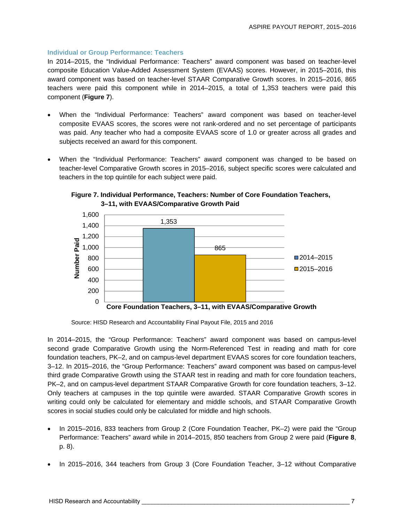#### **Individual or Group Performance: Teachers**

In 2014–2015, the "Individual Performance: Teachers" award component was based on teacher-level composite Education Value-Added Assessment System (EVAAS) scores. However, in 2015–2016, this award component was based on teacher-level STAAR Comparative Growth scores. In 2015–2016, 865 teachers were paid this component while in 2014–2015, a total of 1,353 teachers were paid this component (**Figure 7**).

- When the "Individual Performance: Teachers" award component was based on teacher-level composite EVAAS scores, the scores were not rank-ordered and no set percentage of participants was paid. Any teacher who had a composite EVAAS score of 1.0 or greater across all grades and subjects received an award for this component.
- When the "Individual Performance: Teachers" award component was changed to be based on teacher-level Comparative Growth scores in 2015–2016, subject specific scores were calculated and teachers in the top quintile for each subject were paid.



**Figure 7. Individual Performance, Teachers: Number of Core Foundation Teachers, 3–11, with EVAAS/Comparative Growth Paid** 

In 2014–2015, the "Group Performance: Teachers" award component was based on campus-level second grade Comparative Growth using the Norm-Referenced Test in reading and math for core foundation teachers, PK–2, and on campus-level department EVAAS scores for core foundation teachers, 3–12. In 2015–2016, the "Group Performance: Teachers" award component was based on campus-level third grade Comparative Growth using the STAAR test in reading and math for core foundation teachers, PK–2, and on campus-level department STAAR Comparative Growth for core foundation teachers, 3–12. Only teachers at campuses in the top quintile were awarded. STAAR Comparative Growth scores in writing could only be calculated for elementary and middle schools, and STAAR Comparative Growth scores in social studies could only be calculated for middle and high schools.

- In 2015–2016, 833 teachers from Group 2 (Core Foundation Teacher, PK–2) were paid the "Group Performance: Teachers" award while in 2014–2015, 850 teachers from Group 2 were paid (**Figure 8**, p. 8).
- In 2015–2016, 344 teachers from Group 3 (Core Foundation Teacher, 3–12 without Comparative

Source: HISD Research and Accountability Final Payout File, 2015 and 2016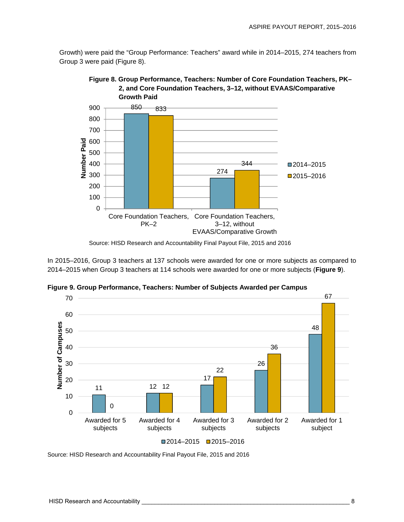Growth) were paid the "Group Performance: Teachers" award while in 2014–2015, 274 teachers from Group 3 were paid (Figure 8).



**Figure 8. Group Performance, Teachers: Number of Core Foundation Teachers, PK– 2, and Core Foundation Teachers, 3–12, without EVAAS/Comparative** 

In 2015–2016, Group 3 teachers at 137 schools were awarded for one or more subjects as compared to 2014–2015 when Group 3 teachers at 114 schools were awarded for one or more subjects (**Figure 9**).



**Figure 9. Group Performance, Teachers: Number of Subjects Awarded per Campus** 

Source: HISD Research and Accountability Final Payout File, 2015 and 2016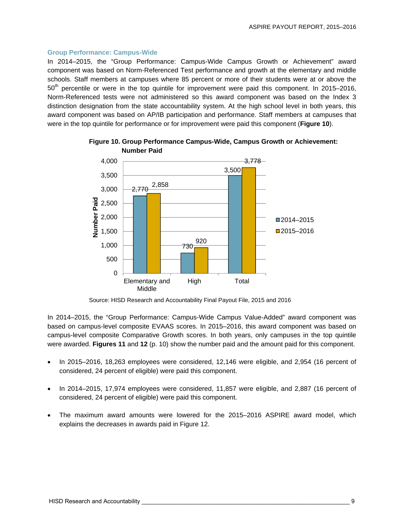#### **Group Performance: Campus-Wide**

In 2014–2015, the "Group Performance: Campus-Wide Campus Growth or Achievement" award component was based on Norm-Referenced Test performance and growth at the elementary and middle schools. Staff members at campuses where 85 percent or more of their students were at or above the  $50<sup>th</sup>$  percentile or were in the top quintile for improvement were paid this component. In 2015–2016, Norm-Referenced tests were not administered so this award component was based on the Index 3 distinction designation from the state accountability system. At the high school level in both years, this award component was based on AP/IB participation and performance. Staff members at campuses that were in the top quintile for performance or for improvement were paid this component (**Figure 10**).



**Figure 10. Group Performance Campus-Wide, Campus Growth or Achievement: Number Paid** 

Source: HISD Research and Accountability Final Payout File, 2015 and 2016

In 2014–2015, the "Group Performance: Campus-Wide Campus Value-Added" award component was based on campus-level composite EVAAS scores. In 2015–2016, this award component was based on campus-level composite Comparative Growth scores. In both years, only campuses in the top quintile were awarded. **Figures 11** and **12** (p. 10) show the number paid and the amount paid for this component.

- In 2015–2016, 18,263 employees were considered, 12,146 were eligible, and 2,954 (16 percent of considered, 24 percent of eligible) were paid this component.
- In 2014–2015, 17,974 employees were considered, 11,857 were eligible, and 2,887 (16 percent of considered, 24 percent of eligible) were paid this component.
- The maximum award amounts were lowered for the 2015–2016 ASPIRE award model, which explains the decreases in awards paid in Figure 12.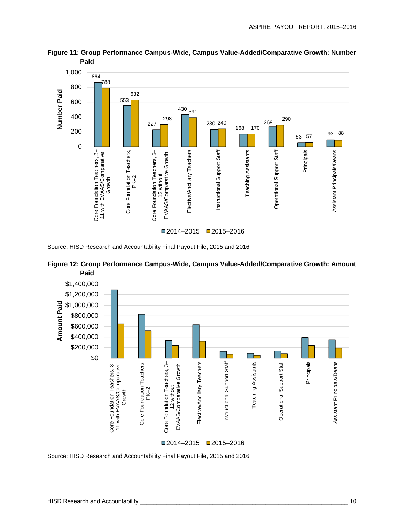

**Figure 11: Group Performance Campus-Wide, Campus Value-Added/Comparative Growth: Number Paid** 

Source: HISD Research and Accountability Final Payout File, 2015 and 2016



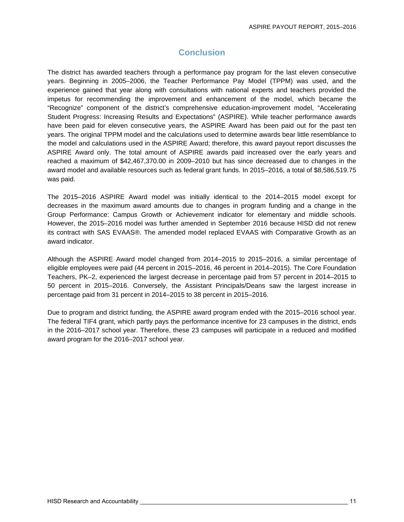### **Conclusion**

The district has awarded teachers through a performance pay program for the last eleven consecutive years. Beginning in 2005–2006, the Teacher Performance Pay Model (TPPM) was used, and the experience gained that year along with consultations with national experts and teachers provided the impetus for recommending the improvement and enhancement of the model, which became the "Recognize" component of the district's comprehensive education-improvement model, "Accelerating Student Progress: Increasing Results and Expectations" (ASPIRE). While teacher performance awards have been paid for eleven consecutive years, the ASPIRE Award has been paid out for the past ten years. The original TPPM model and the calculations used to determine awards bear little resemblance to the model and calculations used in the ASPIRE Award; therefore, this award payout report discusses the ASPIRE Award only. The total amount of ASPIRE awards paid increased over the early years and reached a maximum of \$42,467,370.00 in 2009–2010 but has since decreased due to changes in the award model and available resources such as federal grant funds. In 2015–2016, a total of \$8,586,519.75 was paid.

The 2015–2016 ASPIRE Award model was initially identical to the 2014–2015 model except for decreases in the maximum award amounts due to changes in program funding and a change in the Group Performance: Campus Growth or Achievement indicator for elementary and middle schools. However, the 2015–2016 model was further amended in September 2016 because HISD did not renew its contract with SAS EVAAS®. The amended model replaced EVAAS with Comparative Growth as an award indicator.

Although the ASPIRE Award model changed from 2014–2015 to 2015–2016, a similar percentage of eligible employees were paid (44 percent in 2015–2016, 46 percent in 2014–2015). The Core Foundation Teachers, PK–2, experienced the largest decrease in percentage paid from 57 percent in 2014–2015 to 50 percent in 2015–2016. Conversely, the Assistant Principals/Deans saw the largest increase in percentage paid from 31 percent in 2014–2015 to 38 percent in 2015–2016.

Due to program and district funding, the ASPIRE award program ended with the 2015–2016 school year. The federal TIF4 grant, which partly pays the performance incentive for 23 campuses in the district, ends in the 2016–2017 school year. Therefore, these 23 campuses will participate in a reduced and modified award program for the 2016–2017 school year.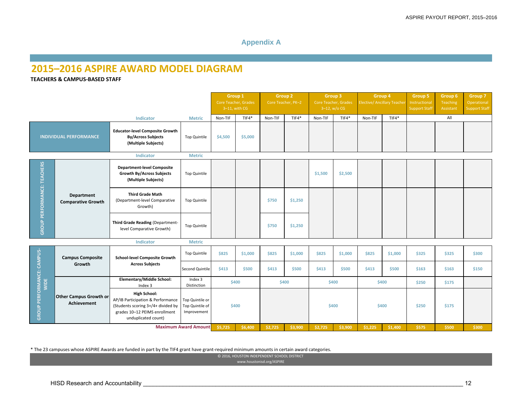### **Appendix A**

### **2015–2016 ASPIRE AWARD MODEL DIAGRAM**

#### **TEACHERS & CAMPUS‐BASED STAFF**

|                                           |                                                     |                                                                                                                                                        |                                                   | Group 1<br><b>Group 2</b><br>Core Teacher, Grades<br>Core Teacher, PK-2<br>$3-11$ , with CG |         | <b>Group 3</b><br>Core Teacher, Grades<br>$3-12$ , w/o CG |         | Group 4<br>Elective/ Ancillary Teache |         | Group 5<br>Instructional<br><b>Support Staff</b> | Group 6<br>Teaching<br>Assistant | Group 7<br>Operational<br><b>Support Staff</b> |       |       |
|-------------------------------------------|-----------------------------------------------------|--------------------------------------------------------------------------------------------------------------------------------------------------------|---------------------------------------------------|---------------------------------------------------------------------------------------------|---------|-----------------------------------------------------------|---------|---------------------------------------|---------|--------------------------------------------------|----------------------------------|------------------------------------------------|-------|-------|
|                                           |                                                     | Indicator                                                                                                                                              | <b>Metric</b>                                     | Non-TIF                                                                                     | $TIF4*$ | Non-TIF                                                   | $TIF4*$ | Non-TIF                               | $TIF4*$ | Non-TIF                                          | $TIF4*$                          |                                                | All   |       |
| <b>INDIVIDUAL PERFORMANCE</b>             |                                                     | <b>Educator-level Composite Growth</b><br><b>By/Across Subjects</b><br>(Multiple Subjects)                                                             | Top Quintile                                      | \$4,500                                                                                     | \$5,000 |                                                           |         |                                       |         |                                                  |                                  |                                                |       |       |
|                                           |                                                     | Indicator                                                                                                                                              | <b>Metric</b>                                     |                                                                                             |         |                                                           |         |                                       |         |                                                  |                                  |                                                |       |       |
| GROUP PERFORMANCE: TEACHERS               |                                                     | <b>Department-level Composite</b><br><b>Growth By/Across Subjects</b><br>(Multiple Subjects)                                                           | <b>Top Quintile</b>                               |                                                                                             |         |                                                           |         | \$1,500                               | \$2,500 |                                                  |                                  |                                                |       |       |
|                                           | <b>Department</b><br><b>Comparative Growth</b>      | <b>Third Grade Math</b><br>(Department-level Comparative<br>Growth)                                                                                    | <b>Top Quintile</b>                               |                                                                                             |         | \$750                                                     | \$1,250 |                                       |         |                                                  |                                  |                                                |       |       |
|                                           |                                                     | Third Grade Reading (Department-<br>level Comparative Growth)                                                                                          | <b>Top Quintile</b>                               |                                                                                             |         | \$750                                                     | \$1,250 |                                       |         |                                                  |                                  |                                                |       |       |
|                                           |                                                     | Indicator                                                                                                                                              | <b>Metric</b>                                     |                                                                                             |         |                                                           |         |                                       |         |                                                  |                                  |                                                |       |       |
|                                           | <b>Campus Composite</b>                             | <b>School-level Composite Growth</b>                                                                                                                   | <b>Top Quintile</b>                               | \$825                                                                                       | \$1,000 | \$825                                                     | \$1,000 | \$825                                 | \$1,000 | \$825                                            | \$1,000                          | \$325                                          | \$325 | \$300 |
|                                           | Growth                                              | <b>Across Subjects</b>                                                                                                                                 | Second Quintile                                   | \$413                                                                                       | \$500   | <b>\$413</b>                                              | \$500   | \$413                                 | \$500   | \$413                                            | \$500                            | \$163                                          | \$163 | \$150 |
|                                           |                                                     | <b>Elementary/Middle School:</b><br>Index 3                                                                                                            | Index 3<br>Distinction                            | \$400                                                                                       |         |                                                           | \$400   | \$400                                 |         |                                                  | \$400                            | \$250                                          | \$175 |       |
| <b>GROUP PERFORMANCE: CAMPUS-</b><br>WIDE | <b>Other Campus Growth or</b><br><b>Achievement</b> | <b>High School:</b><br>AP/IB Participation & Performance<br>(Students scoring 3+/4+ divided by<br>grades 10-12 PEIMS enrollment<br>unduplicated count) | Top Quintile or<br>Top Quintile of<br>Improvement | \$400                                                                                       |         |                                                           |         |                                       | \$400   |                                                  | \$400                            | \$250                                          | \$175 |       |
|                                           |                                                     |                                                                                                                                                        | <b>Maximum Award Amount</b>                       | \$5,725                                                                                     | \$6,400 | \$2,725                                                   | \$3,900 | \$2,725                               | \$3,900 | \$1,225                                          | \$1,400                          | \$575                                          | \$500 | \$300 |

\* The 23 campuses whose ASPIRE Awards are funded in part by the TIF4 grant have grant‐required minimum amounts in certain award categories.

© 2016, HOUSTON INDEPENDENT SCHOOL DISTRICT

www.houstonisd.org/ASPIRE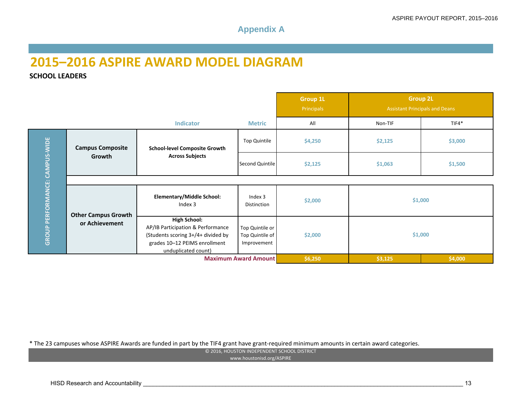### **Appendix A**

# **2015–2016 ASPIRE AWARD MODEL DIAGRAM**

**SCHOOL LEADERS**

|                                |                            |                                                                                                                                                                                                             |                               | <b>Group 1L</b><br>Principals |         | <b>Group 2L</b><br><b>Assistant Principals and Deans</b> |
|--------------------------------|----------------------------|-------------------------------------------------------------------------------------------------------------------------------------------------------------------------------------------------------------|-------------------------------|-------------------------------|---------|----------------------------------------------------------|
|                                |                            | <b>Indicator</b>                                                                                                                                                                                            | <b>Metric</b>                 | All                           | Non-TIF | $TIF4*$                                                  |
|                                | <b>Campus Composite</b>    | <b>School-level Composite Growth</b>                                                                                                                                                                        | Top Quintile                  | \$4,250                       | \$2,125 | \$3,000                                                  |
|                                | Growth                     | <b>Across Subjects</b>                                                                                                                                                                                      | Second Quintile               | \$2,125                       | \$1,063 | \$1,500                                                  |
|                                |                            |                                                                                                                                                                                                             |                               |                               |         |                                                          |
|                                | <b>Other Campus Growth</b> | <b>Elementary/Middle School:</b><br>Index 3                                                                                                                                                                 | Index 3<br><b>Distinction</b> | \$2,000                       |         | \$1,000                                                  |
| GROUP PERFORMANCE: CAMPUS-WIDE | or Achievement             | <b>High School:</b><br>AP/IB Participation & Performance<br>Top Quintile or<br>(Students scoring 3+/4+ divided by<br>Top Quintile of<br>grades 10-12 PEIMS enrollment<br>Improvement<br>unduplicated count) |                               | \$2,000                       |         | \$1,000                                                  |
|                                |                            |                                                                                                                                                                                                             | <b>Maximum Award Amount</b>   | \$6,250                       | \$3,125 | \$4,000                                                  |

\* The 23 campuses whose ASPIRE Awards are funded in part by the TIF4 grant have grant‐required minimum amounts in certain award categories.

© 2016, HOUSTON INDEPENDENT SCHOOL DISTRICT

www.houstonisd.org/ASPIRE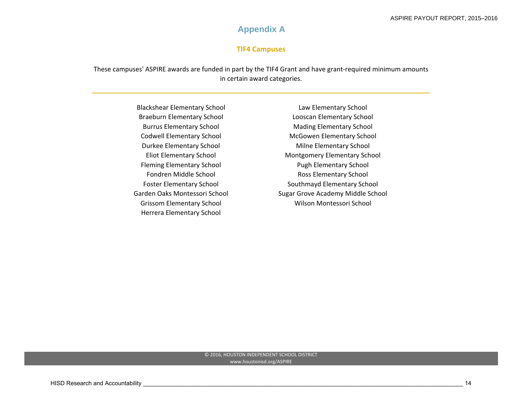### **Appendix A**

#### **TIF4 Campuses**

These campuses' ASPIRE awards are funded in part by the TIF4 Grant and have grant‐required minimum amounts in certain award categories.

> **Blackshear Elementary School Braeburn Elementary School Burrus Elementary School Codwell Elementary School Durkee Elementary School Eliot Elementary School** Fleming Elementary School Pugh Elementary School Fondren Middle School **Foster Elementary School** Garden Oaks Montessori School Grissom Elementary School Night Controllery Milson Montessori School Herrera Elementary School

 Elementary School Law Elementary School Elementary School Looscan Elementary School Elementary School Mading Elementary School Elementary School McGowen Elementary School Elementary School Milne Elementary School Elementary School Montgomery Elementary School Ross Elementary School Southmayd Elementary School Sugar Grove Academy Middle School

#### © 2016, HOUSTON INDEPENDENT SCHOOL DISTRICT www.houstonisd.org/ASPIRE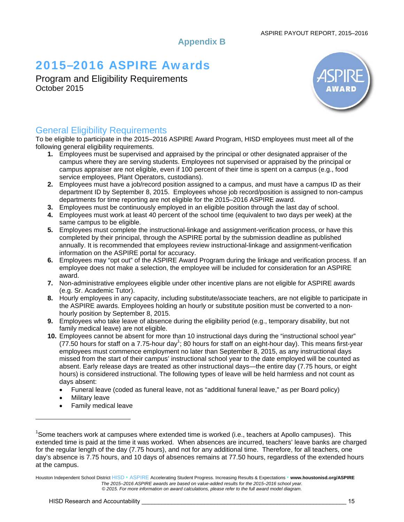**Appendix B** 

# 2015**–**2016 ASPIRE Awards

Program and Eligibility Requirements October 2015



### General Eligibility Requirements

To be eligible to participate in the 2015–2016 ASPIRE Award Program, HISD employees must meet all of the following general eligibility requirements.

- **1.** Employees must be supervised and appraised by the principal or other designated appraiser of the campus where they are serving students. Employees not supervised or appraised by the principal or campus appraiser are not eligible, even if 100 percent of their time is spent on a campus (e.g., food service employees, Plant Operators, custodians).
- **2.** Employees must have a job/record position assigned to a campus, and must have a campus ID as their department ID by September 8, 2015. Employees whose job record/position is assigned to non-campus departments for time reporting are not eligible for the 2015–2016 ASPIRE award.
- **3.** Employees must be continuously employed in an eligible position through the last day of school.
- **4.** Employees must work at least 40 percent of the school time (equivalent to two days per week) at the same campus to be eligible.
- **5.** Employees must complete the instructional-linkage and assignment-verification process, or have this completed by their principal, through the ASPIRE portal by the submission deadline as published annually. It is recommended that employees review instructional-linkage and assignment-verification information on the ASPIRE portal for accuracy.
- **6.** Employees may "opt out" of the ASPIRE Award Program during the linkage and verification process. If an employee does not make a selection, the employee will be included for consideration for an ASPIRE award.
- **7.** Non-administrative employees eligible under other incentive plans are not eligible for ASPIRE awards (e.g. Sr. Academic Tutor).
- **8.** Hourly employees in any capacity, including substitute/associate teachers, are not eligible to participate in the ASPIRE awards. Employees holding an hourly or substitute position must be converted to a nonhourly position by September 8, 2015.
- **9.** Employees who take leave of absence during the eligibility period (e.g., temporary disability, but not family medical leave) are not eligible.
- **10.** Employees cannot be absent for more than 10 instructional days during the "instructional school year" (77.50 hours for staff on a 7.75-hour day<sup>1</sup>; 80 hours for staff on an eight-hour day). This means first-year employees must commence employment no later than September 8, 2015, as any instructional days missed from the start of their campus' instructional school year to the date employed will be counted as absent. Early release days are treated as other instructional days—the entire day (7.75 hours, or eight hours) is considered instructional. The following types of leave will be held harmless and not count as days absent:
	- Funeral leave (coded as funeral leave, not as "additional funeral leave," as per Board policy)
	- Military leave

Family medical leave

<sup>&</sup>lt;sup>1</sup>Some teachers work at campuses where extended time is worked (i.e., teachers at Apollo campuses). This extended time is paid at the time it was worked. When absences are incurred, teachers' leave banks are charged for the regular length of the day (7.75 hours), and not for any additional time. Therefore, for all teachers, one day's absence is 7.75 hours, and 10 days of absences remains at 77.50 hours, regardless of the extended hours at the campus.

Houston Independent School District HISD • ASPIRE Accelerating Student Progress. Increasing Results & Expectations • **www.houstonisd.org/ASPIRE**  *The 2015–2016 ASPIRE awards are based on value-added results for the 2015–2016 school year. © 2015. For more information on award calculations, please refer to the full award model diagram.*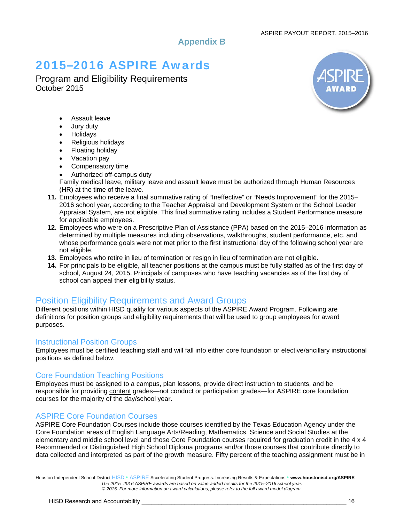### **Appendix B**

# 2015**–**2016 ASPIRE Awards

Program and Eligibility Requirements October 2015



- Assault leave
- Jury duty
- Holidays
- Religious holidays
- Floating holiday
- Vacation pay
- Compensatory time
- Authorized off-campus duty

Family medical leave, military leave and assault leave must be authorized through Human Resources (HR) at the time of the leave.

- **11.** Employees who receive a final summative rating of "Ineffective" or "Needs Improvement" for the 2015– 2016 school year, according to the Teacher Appraisal and Development System or the School Leader Appraisal System, are not eligible. This final summative rating includes a Student Performance measure for applicable employees.
- **12.** Employees who were on a Prescriptive Plan of Assistance (PPA) based on the 2015–2016 information as determined by multiple measures including observations, walkthroughs, student performance, etc. and whose performance goals were not met prior to the first instructional day of the following school year are not eligible.
- **13.** Employees who retire in lieu of termination or resign in lieu of termination are not eligible.
- **14.** For principals to be eligible, all teacher positions at the campus must be fully staffed as of the first day of school, August 24, 2015. Principals of campuses who have teaching vacancies as of the first day of school can appeal their eligibility status.

### Position Eligibility Requirements and Award Groups

Different positions within HISD qualify for various aspects of the ASPIRE Award Program. Following are definitions for position groups and eligibility requirements that will be used to group employees for award purposes.

### Instructional Position Groups

Employees must be certified teaching staff and will fall into either core foundation or elective/ancillary instructional positions as defined below.

### Core Foundation Teaching Positions

Employees must be assigned to a campus, plan lessons, provide direct instruction to students, and be responsible for providing content grades—not conduct or participation grades—for ASPIRE core foundation courses for the majority of the day/school year.

### ASPIRE Core Foundation Courses

ASPIRE Core Foundation Courses include those courses identified by the Texas Education Agency under the Core Foundation areas of English Language Arts/Reading, Mathematics, Science and Social Studies at the elementary and middle school level and those Core Foundation courses required for graduation credit in the 4 x 4 Recommended or Distinguished High School Diploma programs and/or those courses that contribute directly to data collected and interpreted as part of the growth measure. Fifty percent of the teaching assignment must be in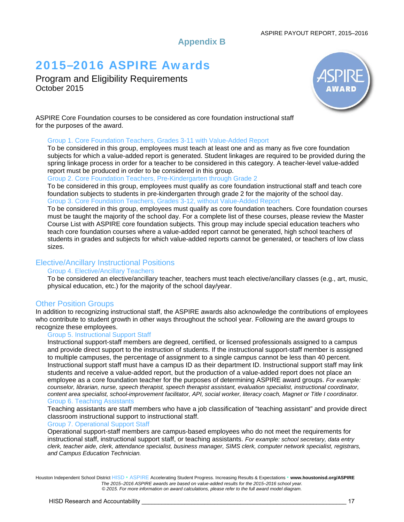#### ASPIRE PAYOUT REPORT, 2015–2016

### **Appendix B**

# 2015**–**2016 ASPIRE Awards

Program and Eligibility Requirements October 2015



ASPIRE Core Foundation courses to be considered as core foundation instructional staff for the purposes of the award.

#### Group 1. Core Foundation Teachers, Grades 3-11 with Value-Added Report

To be considered in this group, employees must teach at least one and as many as five core foundation subjects for which a value-added report is generated. Student linkages are required to be provided during the spring linkage process in order for a teacher to be considered in this category. A teacher-level value-added report must be produced in order to be considered in this group.

Group 2. Core Foundation Teachers, Pre-Kindergarten through Grade 2

To be considered in this group, employees must qualify as core foundation instructional staff and teach core foundation subjects to students in pre-kindergarten through grade 2 for the majority of the school day. Group 3. Core Foundation Teachers, Grades 3-12, without Value-Added Report

To be considered in this group, employees must qualify as core foundation teachers. Core foundation courses must be taught the majority of the school day. For a complete list of these courses, please review the Master Course List with ASPIRE core foundation subjects. This group may include special education teachers who teach core foundation courses where a value-added report cannot be generated, high school teachers of students in grades and subjects for which value-added reports cannot be generated, or teachers of low class sizes.

### Elective/Ancillary Instructional Positions

#### Group 4. Elective/Ancillary Teachers

To be considered an elective/ancillary teacher, teachers must teach elective/ancillary classes (e.g., art, music, physical education, etc.) for the majority of the school day/year.

### Other Position Groups

In addition to recognizing instructional staff, the ASPIRE awards also acknowledge the contributions of employees who contribute to student growth in other ways throughout the school year. Following are the award groups to recognize these employees.

#### Group 5. Instructional Support Staff

Instructional support-staff members are degreed, certified, or licensed professionals assigned to a campus and provide direct support to the instruction of students. If the instructional support-staff member is assigned to multiple campuses, the percentage of assignment to a single campus cannot be less than 40 percent. Instructional support staff must have a campus ID as their department ID. Instructional support staff may link students and receive a value-added report, but the production of a value-added report does not place an employee as a core foundation teacher for the purposes of determining ASPIRE award groups. *For example: counselor, librarian, nurse, speech therapist, speech therapist assistant, evaluation specialist, instructional coordinator, content area specialist, school-improvement facilitator, API, social worker, literacy coach, Magnet or Title I coordinator.* Group 6. Teaching Assistants

Teaching assistants are staff members who have a job classification of "teaching assistant" and provide direct classroom instructional support to instructional staff.

#### Group 7. Operational Support Staff

Operational support-staff members are campus-based employees who do not meet the requirements for instructional staff, instructional support staff, or teaching assistants. *For example: school secretary, data entry clerk, teacher aide, clerk, attendance specialist, business manager, SIMS clerk, computer network specialist, registrars, and Campus Education Technician.*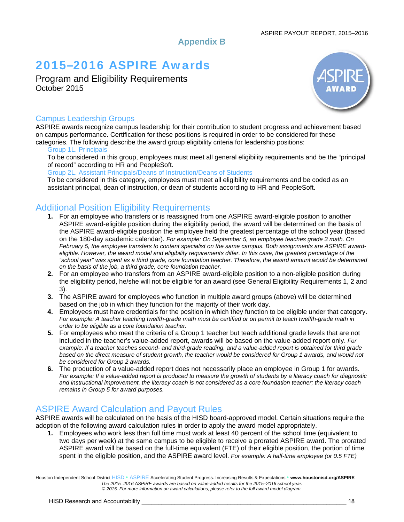### **Appendix B**

# 2015**–**2016 ASPIRE Awards

Program and Eligibility Requirements October 2015



### Campus Leadership Groups

ASPIRE awards recognize campus leadership for their contribution to student progress and achievement based on campus performance. Certification for these positions is required in order to be considered for these categories. The following describe the award group eligibility criteria for leadership positions:

#### Group 1L. Principals

To be considered in this group, employees must meet all general eligibility requirements and be the "principal of record" according to HR and PeopleSoft.

Group 2L. Assistant Principals/Deans of Instruction/Deans of Students

To be considered in this category, employees must meet all eligibility requirements and be coded as an assistant principal, dean of instruction, or dean of students according to HR and PeopleSoft.

### Additional Position Eligibility Requirements

- **1.** For an employee who transfers or is reassigned from one ASPIRE award-eligible position to another ASPIRE award-eligible position during the eligibility period, the award will be determined on the basis of the ASPIRE award-eligible position the employee held the greatest percentage of the school year (based on the 180-day academic calendar). *For example: On September 5, an employee teaches grade 3 math. On February 5, the employee transfers to content specialist on the same campus. Both assignments are ASPIRE awardeligible. However, the award model and eligibility requirements differ. In this case, the greatest percentage of the*  "school year" was spent as a third grade, core foundation teacher. Therefore, the award amount would be determined *on the basis of the job, a third grade, core foundation teacher.*
- **2.** For an employee who transfers from an ASPIRE award-eligible position to a non-eligible position during the eligibility period, he/she will not be eligible for an award (see General Eligibility Requirements 1, 2 and 3).
- **3.** The ASPIRE award for employees who function in multiple award groups (above) will be determined based on the job in which they function for the majority of their work day.
- **4.** Employees must have credentials for the position in which they function to be eligible under that category. For example: A teacher teaching twelfth-grade math must be certified or on permit to teach twelfth-grade math in *order to be eligible as a core foundation teacher.*
- **5.** For employees who meet the criteria of a Group 1 teacher but teach additional grade levels that are not included in the teacher's value-added report, awards will be based on the value-added report only. *For*  example: If a teacher teaches second- and third-grade reading, and a value-added report is obtained for third grade based on the direct measure of student growth, the teacher would be considered for Group 1 awards, and would not *be considered for Group 2 awards.*
- **6.** The production of a value-added report does not necessarily place an employee in Group 1 for awards. *For example: If a value-added report is produced to measure the growth of students by a literacy coach for diagnostic and instructional improvement, the literacy coach is not considered as a core foundation teacher; the literacy coach remains in Group 5 for award purposes.*

### ASPIRE Award Calculation and Payout Rules

ASPIRE awards will be calculated on the basis of the HISD board-approved model. Certain situations require the adoption of the following award calculation rules in order to apply the award model appropriately.

**1.** Employees who work less than full time must work at least 40 percent of the school time (equivalent to two days per week) at the same campus to be eligible to receive a prorated ASPIRE award. The prorated ASPIRE award will be based on the full-time equivalent (FTE) of their eligible position, the portion of time spent in the eligible position, and the ASPIRE award level. *For example: A half-time employee (or 0.5 FTE)*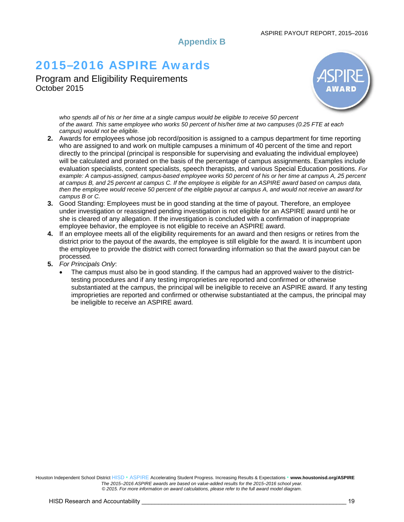#### ASPIRE PAYOUT REPORT, 2015–2016

**Appendix B** 

# 2015**–**2016 ASPIRE Awards

Program and Eligibility Requirements October 2015



*who spends all of his or her time at a single campus would be eligible to receive 50 percent of the award. This same employee who works 50 percent of his/her time at two campuses (0.25 FTE at each campus) would not be eligible.*

- **2.** Awards for employees whose job record/position is assigned to a campus department for time reporting who are assigned to and work on multiple campuses a minimum of 40 percent of the time and report directly to the principal (principal is responsible for supervising and evaluating the individual employee) will be calculated and prorated on the basis of the percentage of campus assignments. Examples include evaluation specialists, content specialists, speech therapists, and various Special Education positions. *For example: A campus-assigned, campus-based employee works 50 percent of his or her time at campus A, 25 percent at campus B, and 25 percent at campus C. If the employee is eligible for an ASPIRE award based on campus data, then the employee would receive 50 percent of the eligible payout at campus A, and would not receive an award for campus B or C.*
- **3.** Good Standing: Employees must be in good standing at the time of payout. Therefore, an employee under investigation or reassigned pending investigation is not eligible for an ASPIRE award until he or she is cleared of any allegation. If the investigation is concluded with a confirmation of inappropriate employee behavior, the employee is not eligible to receive an ASPIRE award.
- **4.** If an employee meets all of the eligibility requirements for an award and then resigns or retires from the district prior to the payout of the awards, the employee is still eligible for the award. It is incumbent upon the employee to provide the district with correct forwarding information so that the award payout can be processed*.*
- **5.** *For Principals Only*:
	- The campus must also be in good standing. If the campus had an approved waiver to the districttesting procedures and if any testing improprieties are reported and confirmed or otherwise substantiated at the campus, the principal will be ineligible to receive an ASPIRE award*.* If any testing improprieties are reported and confirmed or otherwise substantiated at the campus, the principal may be ineligible to receive an ASPIRE award*.*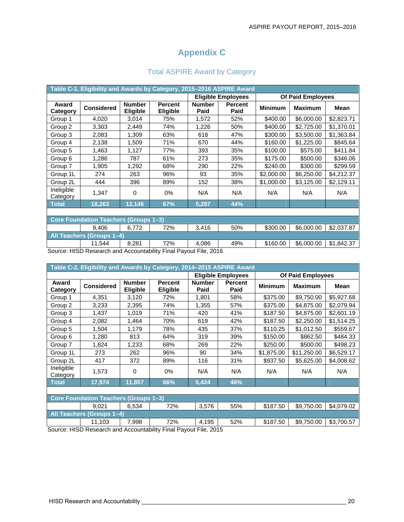### **Appendix C**

|  |  | <b>Total ASPIRE Award by Category</b> |
|--|--|---------------------------------------|
|--|--|---------------------------------------|

|                        | Table C-1. Eligibility and Awards by Category, 2015–2016 ASPIRE Award         |                                  |                                   |                       |                           |                |                          |            |  |  |  |  |  |
|------------------------|-------------------------------------------------------------------------------|----------------------------------|-----------------------------------|-----------------------|---------------------------|----------------|--------------------------|------------|--|--|--|--|--|
|                        |                                                                               |                                  |                                   |                       | <b>Eligible Employees</b> |                | <b>Of Paid Employees</b> |            |  |  |  |  |  |
| Award<br>Category      | <b>Considered</b>                                                             | <b>Number</b><br><b>Eligible</b> | <b>Percent</b><br><b>Eligible</b> | <b>Number</b><br>Paid | <b>Percent</b><br>Paid    | <b>Minimum</b> | <b>Maximum</b>           | Mean       |  |  |  |  |  |
| Group 1                | 4,020                                                                         | 3,014                            | 75%                               | 1,572                 | 52%                       | \$400.00       | \$6,000.00               | \$2,823.71 |  |  |  |  |  |
| Group 2                | 3,303                                                                         | 2,449                            | 74%                               | 1,226                 | 50%                       | \$400.00       | \$2,725.00               | \$1,370.01 |  |  |  |  |  |
| Group 3                | 2,083                                                                         | 1,309                            | 63%                               | 618                   | 47%                       | \$300.00       | \$3,500.00               | \$1,363.84 |  |  |  |  |  |
| Group 4                | 2,138                                                                         | 1,509                            | 71%                               | 670                   | 44%                       | \$160.00       | \$1,225.00               | \$845.64   |  |  |  |  |  |
| Group 5                | 1,463                                                                         | 1,127                            | 77%                               | 393                   | 35%                       | \$100.00       | \$575.00                 | \$411.84   |  |  |  |  |  |
| Group 6                | 1,286                                                                         | 787                              | 61%                               | 273                   | 35%                       | \$175.00       | \$500.00                 | \$346.06   |  |  |  |  |  |
| Group 7                | 1,905                                                                         | 1,292                            | 68%                               | 290                   | 22%                       | \$240.00       | \$300.00                 | \$299.59   |  |  |  |  |  |
| Group 1L               | 274                                                                           | 263                              | 96%                               | 93                    | 35%                       | \$2,000.00     | \$6,250.00               | \$4,212.37 |  |  |  |  |  |
| Group 2L               | 444                                                                           | 396                              | 89%                               | 152                   | 38%                       | \$1,000.00     | \$3,125.00               | \$2,129.11 |  |  |  |  |  |
| Ineligible<br>Category | 1,347                                                                         | 0                                | $0\%$                             | N/A                   | N/A                       | N/A            | N/A                      | N/A        |  |  |  |  |  |
| <b>Total</b>           | 18,263                                                                        | 12,146                           | 67%                               | 5,287                 | 44%                       |                |                          |            |  |  |  |  |  |
|                        |                                                                               |                                  |                                   |                       |                           |                |                          |            |  |  |  |  |  |
|                        | <b>Core Foundation Teachers (Groups 1-3)</b>                                  |                                  |                                   |                       |                           |                |                          |            |  |  |  |  |  |
|                        | 50%<br>\$300.00<br>\$6,000.00<br>\$2,037.87<br>72%<br>3,416<br>9,406<br>6,772 |                                  |                                   |                       |                           |                |                          |            |  |  |  |  |  |
|                        | All Teachers (Groups 1-4)                                                     |                                  |                                   |                       |                           |                |                          |            |  |  |  |  |  |
|                        | 11,544                                                                        | 8,281                            | 72%                               | 4,086                 | 49%                       | \$160.00       | \$6,000.00               | \$1,842.37 |  |  |  |  |  |
|                        | Course HICD Dessersh and Asseuntability Final Daveut File 2016                |                                  |                                   |                       |                           |                |                          |            |  |  |  |  |  |

Source: HISD Research and Accountability Final Payout File, 2016

| Table C-2. Eligibility and Awards by Category, 2014-2015 ASPIRE Award |                                              |                           |                                   |                       |                           |                |                          |            |  |  |
|-----------------------------------------------------------------------|----------------------------------------------|---------------------------|-----------------------------------|-----------------------|---------------------------|----------------|--------------------------|------------|--|--|
|                                                                       |                                              |                           |                                   |                       | <b>Eligible Employees</b> |                | <b>Of Paid Employees</b> |            |  |  |
| Award<br>Category                                                     | <b>Considered</b>                            | <b>Number</b><br>Eligible | <b>Percent</b><br><b>Eligible</b> | <b>Number</b><br>Paid | <b>Percent</b><br>Paid    | <b>Minimum</b> | <b>Maximum</b>           | Mean       |  |  |
| Group 1                                                               | 4,351                                        | 3,120                     | 72%                               | 1,801                 | 58%                       | \$375.00       | \$9,750.00               | \$5,927.68 |  |  |
| Group 2                                                               | 3,233                                        | 2,395                     | 74%                               | 1,355                 | 57%                       | \$375.00       | \$4,875.00               | \$2,079.94 |  |  |
| Group 3                                                               | 1,437                                        | 1,019                     | 71%                               | 420                   | 41%                       | \$187.50       | \$4,875.00               | \$2,601.19 |  |  |
| Group 4                                                               | 2,082                                        | 1,464                     | 70%                               | 619                   | 42%                       | \$187.50       | \$2,250.00               | \$1,514.25 |  |  |
| Group 5                                                               | 1,504                                        | 1,179                     | 78%                               | 435                   | 37%                       | \$110.25       | \$1,012.50               | \$559.67   |  |  |
| Group 6                                                               | 1,280                                        | 813                       | 64%                               | 319                   | 39%                       | \$150.00       | \$862.50                 | \$484.33   |  |  |
| Group 7                                                               | 1,824                                        | 1,233                     | 68%                               | 269                   | 22%                       | \$250.00       | \$500.00                 | \$498.23   |  |  |
| Group 1L                                                              | 273                                          | 262                       | 96%                               | 90                    | 34%                       | \$1,875.00     | \$11,250.00              | \$6,529.17 |  |  |
| Group 2L                                                              | 417                                          | 372                       | 89%                               | 116                   | 31%                       | \$937.50       | \$5,625.00               | \$4,008.62 |  |  |
| Ineligible<br>Category                                                | 1,573                                        | 0                         | $0\%$                             | N/A                   | N/A                       | N/A            | N/A                      | N/A        |  |  |
| <b>Total</b>                                                          | 17,974                                       | 11,857                    | 66%                               | 5,424                 | 46%                       |                |                          |            |  |  |
|                                                                       |                                              |                           |                                   |                       |                           |                |                          |            |  |  |
|                                                                       | <b>Core Foundation Teachers (Groups 1-3)</b> |                           |                                   |                       |                           |                |                          |            |  |  |
|                                                                       | 9,021                                        | 6,534                     | 72%                               | 3,576                 | 55%                       | \$187.50       | \$9,750.00               | \$4,079.02 |  |  |
|                                                                       | All Teachers (Groups 1-4)                    |                           |                                   |                       |                           |                |                          |            |  |  |
|                                                                       | 11,103                                       | 7,998                     | 72%                               | 4,195                 | 52%                       | \$187.50       | \$9,750.00               | \$3,700.57 |  |  |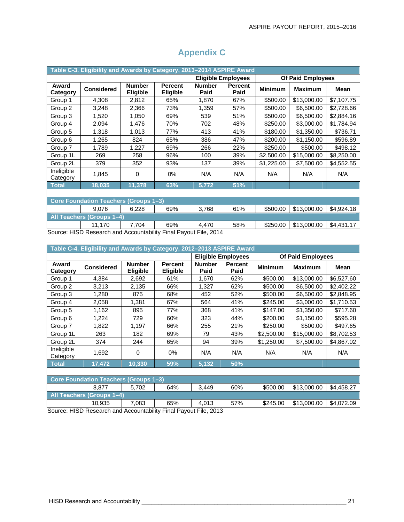| Table C-3. Eligibility and Awards by Category, 2013-2014 ASPIRE Award |                                              |                           |                                   |                                                                 |                           |                |                   |             |  |  |  |  |
|-----------------------------------------------------------------------|----------------------------------------------|---------------------------|-----------------------------------|-----------------------------------------------------------------|---------------------------|----------------|-------------------|-------------|--|--|--|--|
|                                                                       |                                              |                           |                                   |                                                                 | <b>Eligible Employees</b> |                | Of Paid Employees |             |  |  |  |  |
| Award<br>Category                                                     | <b>Considered</b>                            | <b>Number</b><br>Eligible | <b>Percent</b><br><b>Eligible</b> | <b>Number</b><br>Paid                                           | <b>Percent</b><br>Paid    | <b>Minimum</b> | <b>Maximum</b>    | <b>Mean</b> |  |  |  |  |
| Group 1                                                               | 4,308                                        | 2,812                     | 65%                               | 1,870                                                           | 67%                       | \$500.00       | \$13,000.00       | \$7,107.75  |  |  |  |  |
| Group 2                                                               | 3,248                                        | 2,366                     | 73%                               | 1,359                                                           | 57%                       | \$500.00       | \$6,500.00        | \$2,728.66  |  |  |  |  |
| Group 3                                                               | 1,520                                        | 1,050                     | 69%                               | 539                                                             | 51%                       | \$500.00       | \$6,500.00        | \$2,884.16  |  |  |  |  |
| Group 4                                                               | 2,094                                        | 1,476                     | 70%                               | 702                                                             | 48%                       | \$250.00       | \$3,000.00        | \$1,784.94  |  |  |  |  |
| Group 5                                                               | 1,318                                        | 1,013                     | 77%                               | 413                                                             | 41%                       | \$180.00       | \$1,350.00        | \$736.71    |  |  |  |  |
| Group 6                                                               | 1,265                                        | 824                       | 65%                               | 386                                                             | 47%                       | \$200.00       | \$1,150.00        | \$596.89    |  |  |  |  |
| Group 7                                                               | 1,789                                        | 1,227                     | 69%                               | 266                                                             | 22%                       | \$250.00       | \$500.00          | \$498.12    |  |  |  |  |
| Group 1L                                                              | 269                                          | 258                       | 96%                               | 100                                                             | 39%                       | \$2,500.00     | \$15,000.00       | \$8,250.00  |  |  |  |  |
| Group 2L                                                              | 379                                          | 352                       | 93%                               | 137                                                             | 39%                       | \$1,225.00     | \$7,500.00        | \$4,552.55  |  |  |  |  |
| Ineligible<br>Category                                                | 1,845                                        | 0                         | $0\%$                             | N/A                                                             | N/A                       | N/A            | N/A               | N/A         |  |  |  |  |
| Total                                                                 | 18,035                                       | 11,378                    | 63%                               | 5,772                                                           | 51%                       |                |                   |             |  |  |  |  |
|                                                                       |                                              |                           |                                   |                                                                 |                           |                |                   |             |  |  |  |  |
|                                                                       | <b>Core Foundation Teachers (Groups 1-3)</b> |                           |                                   |                                                                 |                           |                |                   |             |  |  |  |  |
|                                                                       | 9,076                                        | 6,228                     | 69%                               | 3,768                                                           | 61%                       | \$500.00       | \$13,000.00       | \$4,924.18  |  |  |  |  |
|                                                                       | All Teachers (Groups 1-4)                    |                           |                                   |                                                                 |                           |                |                   |             |  |  |  |  |
|                                                                       | 11,170<br>$\cdots$                           | 7,704<br>$\overline{a}$   | 69%                               | 4,470<br>$\sim$ $ \cdot$ $\cdot$<br>$\sim$ $\sim$ $\sim$ $\sim$ | 58%                       | \$250.00       | \$13,000.00       | \$4,431.17  |  |  |  |  |

### **Appendix C**

Source: HISD Research and Accountability Final Payout File, 2014

|                        | Table C-4. Eligibility and Awards by Category, 2012-2013 ASPIRE Award |                                  |                            |                       |                           |                |                          |            |  |  |  |
|------------------------|-----------------------------------------------------------------------|----------------------------------|----------------------------|-----------------------|---------------------------|----------------|--------------------------|------------|--|--|--|
|                        |                                                                       |                                  |                            |                       | <b>Eligible Employees</b> |                | <b>Of Paid Employees</b> |            |  |  |  |
| Award<br>Category      | <b>Considered</b>                                                     | <b>Number</b><br><b>Eligible</b> | <b>Percent</b><br>Eligible | <b>Number</b><br>Paid | <b>Percent</b><br>Paid    | <b>Minimum</b> | <b>Maximum</b>           | Mean       |  |  |  |
| Group 1                | 4,384                                                                 | 2,692                            | 61%                        | 1,670                 | 62%                       | \$500.00       | \$13,000.00              | \$6,527.60 |  |  |  |
| Group 2                | 3,213                                                                 | 2,135                            | 66%                        | 1,327                 | 62%                       | \$500.00       | \$6,500.00               | \$2,402.22 |  |  |  |
| Group 3                | 1,280                                                                 | 875                              | 68%                        | 452                   | 52%                       | \$500.00       | \$6,500.00               | \$2,848.95 |  |  |  |
| Group 4                | 2,058                                                                 | 1,381                            | 67%                        | 564                   | 41%                       | \$245.00       | \$3,000.00               | \$1,710.53 |  |  |  |
| Group 5                | 1,162                                                                 | 895                              | 77%                        | 368                   | 41%                       | \$147.00       | \$1,350.00               | \$717.60   |  |  |  |
| Group 6                | 1,224                                                                 | 729                              | 60%                        | 323                   | 44%                       | \$200.00       | \$1,150.00               | \$595.28   |  |  |  |
| Group 7                | 1,822                                                                 | 1,197                            | 66%                        | 255                   | 21%                       | \$250.00       | \$500.00                 | \$497.65   |  |  |  |
| Group 1L               | 263                                                                   | 182                              | 69%                        | 79                    | 43%                       | \$2,500.00     | \$15,000.00              | \$8,702.53 |  |  |  |
| Group 2L               | 374                                                                   | 244                              | 65%                        | 94                    | 39%                       | \$1,250.00     | \$7,500.00               | \$4,867.02 |  |  |  |
| Ineligible<br>Category | 1,692                                                                 | 0                                | 0%                         | N/A                   | N/A                       | N/A            | N/A                      | N/A        |  |  |  |
| <b>Total</b>           | 17,472                                                                | 10,330                           | 59%                        | 3,132                 | 50%                       |                |                          |            |  |  |  |
|                        |                                                                       |                                  |                            |                       |                           |                |                          |            |  |  |  |
|                        | <b>Core Foundation Teachers</b>                                       | (Groups 1-3)                     |                            |                       |                           |                |                          |            |  |  |  |
|                        | 8.877                                                                 | 5,702                            | 64%                        | 3,449                 | 60%                       | \$500.00       | \$13,000.00              | \$4,458.27 |  |  |  |
|                        | All Teachers (Groups 1-4)                                             |                                  |                            |                       |                           |                |                          |            |  |  |  |
|                        | 10,935<br>$\overline{110000}$                                         | 7,083                            | 65%                        | 4,013                 | 57%                       | \$245.00       | \$13,000.00              | \$4,072.09 |  |  |  |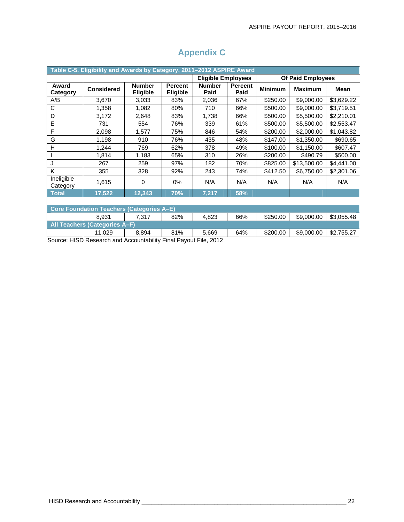| Table C-5. Eligibility and Awards by Category, 2011-2012 ASPIRE Award |                                      |                                  |                                   |                           |                        |                |                          |            |  |  |  |  |
|-----------------------------------------------------------------------|--------------------------------------|----------------------------------|-----------------------------------|---------------------------|------------------------|----------------|--------------------------|------------|--|--|--|--|
|                                                                       |                                      |                                  |                                   | <b>Eligible Employees</b> |                        |                | <b>Of Paid Employees</b> |            |  |  |  |  |
| Award<br>Category                                                     | <b>Considered</b>                    | <b>Number</b><br><b>Eligible</b> | <b>Percent</b><br><b>Eligible</b> | <b>Number</b><br>Paid     | <b>Percent</b><br>Paid | <b>Minimum</b> | <b>Maximum</b>           | Mean       |  |  |  |  |
| A/B                                                                   | 3,670                                | 3,033                            | 83%                               | 2,036                     | 67%                    | \$250.00       | \$9,000.00               | \$3,629.22 |  |  |  |  |
| C                                                                     | 1,358                                | 1,082                            | 80%                               | 710                       | 66%                    | \$500.00       | \$9,000.00               | \$3,719.51 |  |  |  |  |
| D                                                                     | 3,172                                | 2,648                            | 83%                               | 1,738                     | 66%                    | \$500.00       | \$5,500.00               | \$2,210.01 |  |  |  |  |
| E                                                                     | 731                                  | 554                              | 76%                               | 339                       | 61%                    | \$500.00       | \$5,500.00               | \$2,553.47 |  |  |  |  |
| F                                                                     | 2,098                                | 1,577                            | 75%                               | 846                       | 54%                    | \$200.00       | \$2,000.00               | \$1,043.82 |  |  |  |  |
| G                                                                     | 1,198                                | 910                              | 76%                               | 435                       | 48%                    | \$147.00       | \$1,350.00               | \$690.65   |  |  |  |  |
| H                                                                     | 1,244                                | 769                              | 62%                               | 378                       | 49%                    | \$100.00       | \$1,150.00               | \$607.47   |  |  |  |  |
|                                                                       | 1,814                                | 1,183                            | 65%                               | 310                       | 26%                    | \$200.00       | \$490.79                 | \$500.00   |  |  |  |  |
| J                                                                     | 267                                  | 259                              | 97%                               | 182                       | 70%                    | \$825.00       | \$13,500.00              | \$4,441.00 |  |  |  |  |
| K                                                                     | 355                                  | 328                              | 92%                               | 243                       | 74%                    | \$412.50       | \$6,750.00               | \$2,301.06 |  |  |  |  |
| Ineligible<br>Category                                                | 1,615                                | $\Omega$                         | $0\%$                             | N/A                       | N/A                    | N/A            | N/A                      | N/A        |  |  |  |  |
| <b>Total</b>                                                          | 17,522                               | 12,343                           | 70%                               | 7,217                     | 58%                    |                |                          |            |  |  |  |  |
|                                                                       |                                      |                                  |                                   |                           |                        |                |                          |            |  |  |  |  |
| <b>Core Foundation Teachers (Categories A-E)</b>                      |                                      |                                  |                                   |                           |                        |                |                          |            |  |  |  |  |
|                                                                       | 8,931                                | 7,317                            | 82%                               | 4,823                     | 66%                    | \$250.00       | \$9,000.00               | \$3,055.48 |  |  |  |  |
|                                                                       | <b>All Teachers (Categories A-F)</b> |                                  |                                   |                           |                        |                |                          |            |  |  |  |  |
|                                                                       | 11,029                               | 8,894                            | 81%                               | 5,669                     | 64%                    | \$200.00       | \$9,000.00               | \$2,755.27 |  |  |  |  |

### **Appendix C**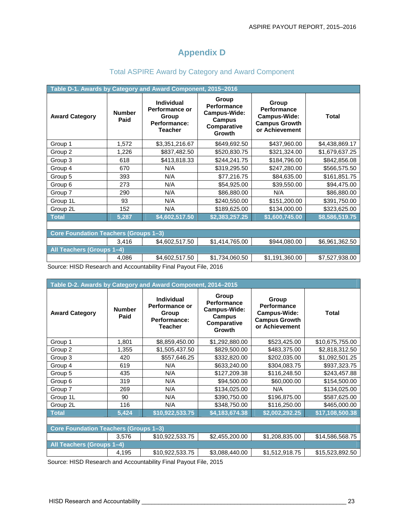### **Appendix D**

|                                       | Table D-1. Awards by Category and Award Component, 2015-2016 |                                                                                       |                                                                                |                                                                                       |                |  |  |  |  |  |  |
|---------------------------------------|--------------------------------------------------------------|---------------------------------------------------------------------------------------|--------------------------------------------------------------------------------|---------------------------------------------------------------------------------------|----------------|--|--|--|--|--|--|
| <b>Award Category</b>                 | <b>Number</b><br>Paid                                        | <b>Individual</b><br>Performance or<br>Group<br><b>Performance:</b><br><b>Teacher</b> | <b>Group</b><br>Performance<br>Campus-Wide:<br>Campus<br>Comparative<br>Growth | Group<br><b>Performance</b><br>Campus-Wide:<br><b>Campus Growth</b><br>or Achievement | <b>Total</b>   |  |  |  |  |  |  |
| Group 1                               | 1,572                                                        | \$3,351,216.67                                                                        | \$649,692.50                                                                   | \$437,960.00                                                                          | \$4,438,869.17 |  |  |  |  |  |  |
| Group 2                               | 1,226                                                        | \$837,482.50                                                                          | \$520,830.75                                                                   | \$321,324.00                                                                          | \$1,679,637.25 |  |  |  |  |  |  |
| Group 3                               | 618                                                          | \$413,818.33                                                                          | \$244,241.75                                                                   | \$184,796.00                                                                          | \$842,856.08   |  |  |  |  |  |  |
| Group 4                               | 670                                                          | N/A                                                                                   | \$319,295.50                                                                   | \$247,280.00                                                                          | \$566,575.50   |  |  |  |  |  |  |
| Group 5                               | 393                                                          | N/A                                                                                   | \$77,216.75                                                                    | \$84,635.00                                                                           | \$161,851.75   |  |  |  |  |  |  |
| Group 6                               | 273                                                          | N/A                                                                                   | \$54,925.00                                                                    | \$39,550.00                                                                           | \$94,475.00    |  |  |  |  |  |  |
| Group 7                               | 290                                                          | N/A                                                                                   | \$86,880.00                                                                    | N/A                                                                                   | \$86,880.00    |  |  |  |  |  |  |
| Group 1L                              | 93                                                           | N/A                                                                                   | \$240,550.00                                                                   | \$151,200.00                                                                          | \$391,750.00   |  |  |  |  |  |  |
| Group 2L                              | 152                                                          | N/A                                                                                   | \$189,625.00                                                                   | \$134,000.00                                                                          | \$323,625.00   |  |  |  |  |  |  |
| <b>Total</b>                          | 5,287                                                        | \$4,602,517.50                                                                        | \$2,383,257.25                                                                 | \$1,600,745.00                                                                        | \$8,586,519.75 |  |  |  |  |  |  |
|                                       |                                                              |                                                                                       |                                                                                |                                                                                       |                |  |  |  |  |  |  |
| Core Foundation Teachers (Groups 1-3) |                                                              |                                                                                       |                                                                                |                                                                                       |                |  |  |  |  |  |  |
|                                       | 3,416                                                        | \$4,602,517.50                                                                        | \$1,414,765.00                                                                 | \$944,080.00                                                                          | \$6,961,362.50 |  |  |  |  |  |  |
| All Teachers (Groups 1-4)             |                                                              |                                                                                       |                                                                                |                                                                                       |                |  |  |  |  |  |  |
|                                       | 4,086                                                        | \$4,602,517.50                                                                        | \$1,734,060.50                                                                 | \$1,191,360.00                                                                        | \$7,527,938.00 |  |  |  |  |  |  |

### Total ASPIRE Award by Category and Award Component

Source: HISD Research and Accountability Final Payout File, 2016

| Table D-2. Awards by Category and Award Component, 2014-2015 |                       |                                                                         |                                                                                       |                                                                                       |                 |  |  |  |  |  |
|--------------------------------------------------------------|-----------------------|-------------------------------------------------------------------------|---------------------------------------------------------------------------------------|---------------------------------------------------------------------------------------|-----------------|--|--|--|--|--|
| <b>Award Category</b>                                        | <b>Number</b><br>Paid | Individual<br>Performance or<br>Group<br>Performance:<br><b>Teacher</b> | Group<br><b>Performance</b><br>Campus-Wide:<br><b>Campus</b><br>Comparative<br>Growth | Group<br><b>Performance</b><br>Campus-Wide:<br><b>Campus Growth</b><br>or Achievement | <b>Total</b>    |  |  |  |  |  |
| Group 1                                                      | 1,801                 | \$8,859,450.00                                                          | \$1,292,880.00                                                                        | \$523,425.00                                                                          | \$10,675,755.00 |  |  |  |  |  |
| Group 2                                                      | 1,355                 | \$1,505,437.50                                                          | \$829,500.00                                                                          | \$483,375.00                                                                          | \$2,818,312.50  |  |  |  |  |  |
| Group 3                                                      | 420                   | \$557,646.25                                                            | \$332,820.00                                                                          | \$202,035.00                                                                          | \$1,092,501.25  |  |  |  |  |  |
| Group 4                                                      | 619                   | N/A                                                                     | \$633,240.00                                                                          | \$304,083.75                                                                          | \$937,323.75    |  |  |  |  |  |
| Group 5                                                      | 435                   | N/A                                                                     | \$127,209.38                                                                          | \$116,248.50                                                                          | \$243,457.88    |  |  |  |  |  |
| Group 6                                                      | 319                   | N/A                                                                     | \$94,500.00                                                                           | \$60,000.00                                                                           | \$154,500.00    |  |  |  |  |  |
| Group 7                                                      | 269                   | N/A                                                                     | \$134,025.00                                                                          | N/A                                                                                   | \$134,025.00    |  |  |  |  |  |
| Group 1L                                                     | 90                    | N/A                                                                     | \$390,750.00                                                                          | \$196,875.00                                                                          | \$587,625.00    |  |  |  |  |  |
| Group 2L                                                     | 116                   | N/A                                                                     | \$348,750.00                                                                          | \$116,250.00                                                                          | \$465,000.00    |  |  |  |  |  |
| <b>Total</b>                                                 | 5,424                 | \$10,922,533.75                                                         | \$4,183,674.38                                                                        | \$2,002,292.25                                                                        | \$17,108,500.38 |  |  |  |  |  |
|                                                              |                       |                                                                         |                                                                                       |                                                                                       |                 |  |  |  |  |  |
| <b>Core Foundation Teachers (Groups 1-3)</b>                 |                       |                                                                         |                                                                                       |                                                                                       |                 |  |  |  |  |  |
|                                                              | 3,576                 | \$10,922,533.75                                                         | \$2,455,200.00                                                                        | \$1,208,835.00                                                                        | \$14,586,568.75 |  |  |  |  |  |
| All Teachers (Groups 1-4)                                    |                       |                                                                         |                                                                                       |                                                                                       |                 |  |  |  |  |  |
|                                                              | 4,195                 | \$10,922,533.75                                                         | \$3,088,440.00                                                                        | \$1,512,918.75                                                                        | \$15,523,892.50 |  |  |  |  |  |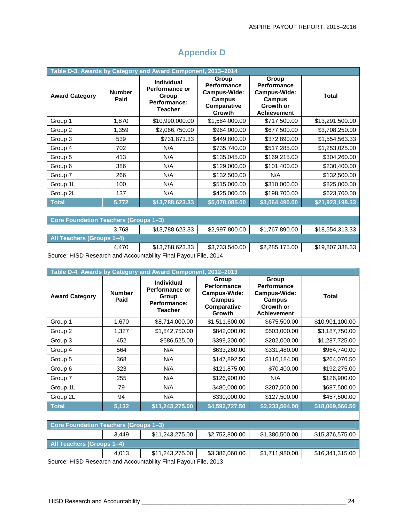| Table D-3. Awards by Category and Award Component, 2013-2014 |                       |                                                                                |                                                                                       |                                                                                   |                 |  |  |  |  |  |
|--------------------------------------------------------------|-----------------------|--------------------------------------------------------------------------------|---------------------------------------------------------------------------------------|-----------------------------------------------------------------------------------|-----------------|--|--|--|--|--|
| <b>Award Category</b>                                        | <b>Number</b><br>Paid | <b>Individual</b><br>Performance or<br>Group<br>Performance:<br><b>Teacher</b> | Group<br><b>Performance</b><br>Campus-Wide:<br><b>Campus</b><br>Comparative<br>Growth | Group<br>Performance<br>Campus-Wide:<br>Campus<br>Growth or<br><b>Achievement</b> | <b>Total</b>    |  |  |  |  |  |
| Group 1                                                      | 1,870                 | \$10,990,000.00                                                                | \$1,584,000.00                                                                        | \$717,500.00                                                                      | \$13,291,500.00 |  |  |  |  |  |
| Group 2                                                      | 1,359                 | \$2,066,750.00                                                                 | \$964,000.00                                                                          | \$677,500.00                                                                      | \$3,708,250.00  |  |  |  |  |  |
| Group 3                                                      | 539                   | \$731,873.33                                                                   | \$449,800.00                                                                          | \$372,890.00                                                                      | \$1,554,563.33  |  |  |  |  |  |
| Group 4                                                      | 702                   | N/A                                                                            | \$735,740.00                                                                          | \$517,285.00                                                                      | \$1,253,025.00  |  |  |  |  |  |
| Group 5                                                      | 413                   | N/A                                                                            | \$135,045.00                                                                          | \$169,215.00                                                                      | \$304,260.00    |  |  |  |  |  |
| Group 6                                                      | 386                   | N/A                                                                            | \$129,000.00                                                                          | \$101,400.00                                                                      | \$230,400.00    |  |  |  |  |  |
| Group 7                                                      | 266                   | N/A                                                                            | \$132,500.00                                                                          | N/A                                                                               | \$132,500.00    |  |  |  |  |  |
| Group 1L                                                     | 100                   | N/A                                                                            | \$515,000.00                                                                          | \$310,000.00                                                                      | \$825,000.00    |  |  |  |  |  |
| Group 2L                                                     | 137                   | N/A                                                                            | \$425,000.00                                                                          | \$198,700.00                                                                      | \$623,700.00    |  |  |  |  |  |
| <b>Total</b>                                                 | 5,772                 | \$13,788,623.33                                                                | \$5,070,085.00                                                                        | \$3,064,490.00                                                                    | \$21,923,198.33 |  |  |  |  |  |
|                                                              |                       |                                                                                |                                                                                       |                                                                                   |                 |  |  |  |  |  |
| <b>Core Foundation Teachers (Groups 1-3)</b>                 |                       |                                                                                |                                                                                       |                                                                                   |                 |  |  |  |  |  |
|                                                              | 3,768                 | \$13,788,623.33                                                                | \$2,997,800.00                                                                        | \$1,767,890.00                                                                    | \$18,554,313.33 |  |  |  |  |  |
| All Teachers (Groups 1-4)                                    |                       |                                                                                |                                                                                       |                                                                                   |                 |  |  |  |  |  |
|                                                              | 4,470                 | \$13,788,623.33                                                                | \$3,733,540.00                                                                        | \$2,285,175.00                                                                    | \$19,807,338.33 |  |  |  |  |  |

### **Appendix D**

Source: HISD Research and Accountability Final Payout File, 2014

| Table D-4. Awards by Category and Award Component, 2012-2013 |                       |                                                                                |                                                                                       |                                                                                          |                 |  |  |  |  |  |
|--------------------------------------------------------------|-----------------------|--------------------------------------------------------------------------------|---------------------------------------------------------------------------------------|------------------------------------------------------------------------------------------|-----------------|--|--|--|--|--|
| <b>Award Category</b>                                        | <b>Number</b><br>Paid | <b>Individual</b><br>Performance or<br>Group<br>Performance:<br><b>Teacher</b> | Group<br><b>Performance</b><br>Campus-Wide:<br><b>Campus</b><br>Comparative<br>Growth | Group<br>Performance<br>Campus-Wide:<br><b>Campus</b><br>Growth or<br><b>Achievement</b> | <b>Total</b>    |  |  |  |  |  |
| Group 1                                                      | 1,670                 | \$8,714,000.00                                                                 | \$1,511,600.00                                                                        | \$675,500.00                                                                             | \$10,901,100.00 |  |  |  |  |  |
| Group 2                                                      | 1,327                 | \$1,842,750.00                                                                 | \$842,000.00                                                                          | \$503,000.00                                                                             | \$3,187,750.00  |  |  |  |  |  |
| Group 3                                                      | 452                   | \$686,525.00                                                                   | \$399,200.00                                                                          | \$202,000.00                                                                             | \$1,287,725.00  |  |  |  |  |  |
| Group 4                                                      | 564                   | N/A                                                                            | \$633,260.00                                                                          | \$331,480.00                                                                             | \$964,740.00    |  |  |  |  |  |
| Group 5                                                      | 368                   | N/A                                                                            | \$147,892.50                                                                          | \$116,184.00                                                                             | \$264,076.50    |  |  |  |  |  |
| Group 6                                                      | 323                   | N/A                                                                            | \$121,875.00                                                                          | \$70,400.00                                                                              | \$192,275.00    |  |  |  |  |  |
| Group 7                                                      | 255                   | N/A                                                                            | \$126,900.00                                                                          | N/A                                                                                      | \$126,900.00    |  |  |  |  |  |
| Group 1L                                                     | 79                    | N/A                                                                            | \$480,000.00                                                                          | \$207,500.00                                                                             | \$687,500.00    |  |  |  |  |  |
| Group 2L                                                     | 94                    | N/A                                                                            | \$330,000.00                                                                          | \$127,500.00                                                                             | \$457,500.00    |  |  |  |  |  |
| <b>Total</b>                                                 | 5,132                 | \$11,243,275.00                                                                | \$4,592,727.50                                                                        | \$2,233,564.00                                                                           | \$18,069,566.50 |  |  |  |  |  |
|                                                              |                       |                                                                                |                                                                                       |                                                                                          |                 |  |  |  |  |  |
| <b>Core Foundation Teachers (Groups 1-3)</b>                 |                       |                                                                                |                                                                                       |                                                                                          |                 |  |  |  |  |  |
|                                                              | 3,449                 | \$11,243,275.00                                                                | \$2,752,800.00                                                                        | \$1,380,500.00                                                                           | \$15,376,575.00 |  |  |  |  |  |
| All Teachers (Groups 1-4)                                    |                       |                                                                                |                                                                                       |                                                                                          |                 |  |  |  |  |  |
|                                                              | 4,013                 | \$11,243,275.00                                                                | \$3,386,060.00                                                                        | \$1,711,980.00                                                                           | \$16,341,315.00 |  |  |  |  |  |